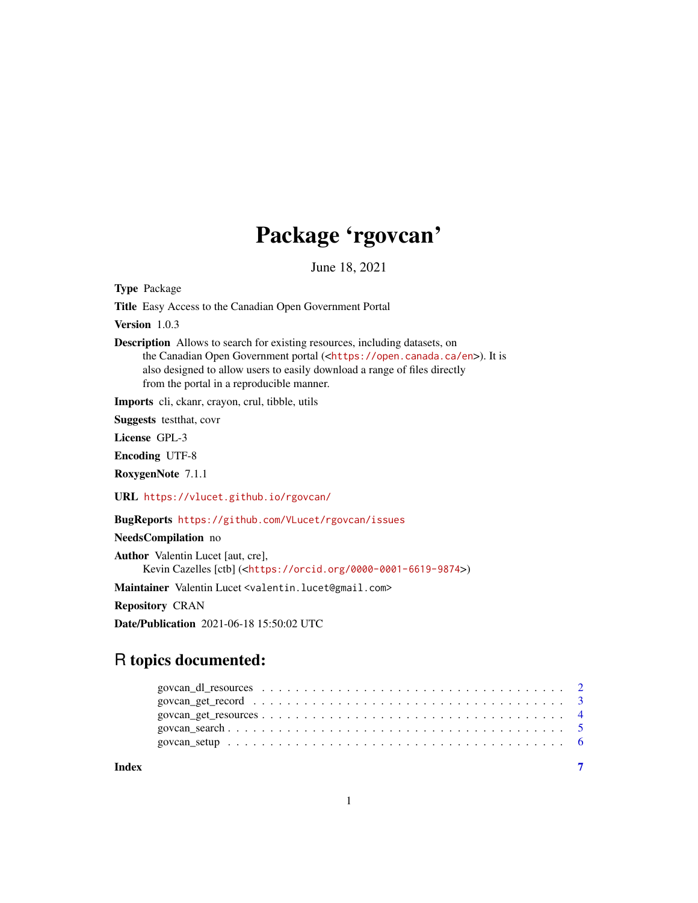## Package 'rgovcan'

June 18, 2021

<span id="page-0-0"></span>Type Package

Title Easy Access to the Canadian Open Government Portal

Version 1.0.3

Description Allows to search for existing resources, including datasets, on the Canadian Open Government portal (<<https://open.canada.ca/en>>). It is also designed to allow users to easily download a range of files directly from the portal in a reproducible manner.

Imports cli, ckanr, crayon, crul, tibble, utils

Suggests testthat, covr

License GPL-3

Encoding UTF-8

RoxygenNote 7.1.1

URL <https://vlucet.github.io/rgovcan/>

BugReports <https://github.com/VLucet/rgovcan/issues>

#### NeedsCompilation no

Author Valentin Lucet [aut, cre], Kevin Cazelles [ctb] (<<https://orcid.org/0000-0001-6619-9874>>)

Maintainer Valentin Lucet <valentin.lucet@gmail.com>

Repository CRAN

Date/Publication 2021-06-18 15:50:02 UTC

### R topics documented:

| Index |  |
|-------|--|
|       |  |
|       |  |
|       |  |
|       |  |
|       |  |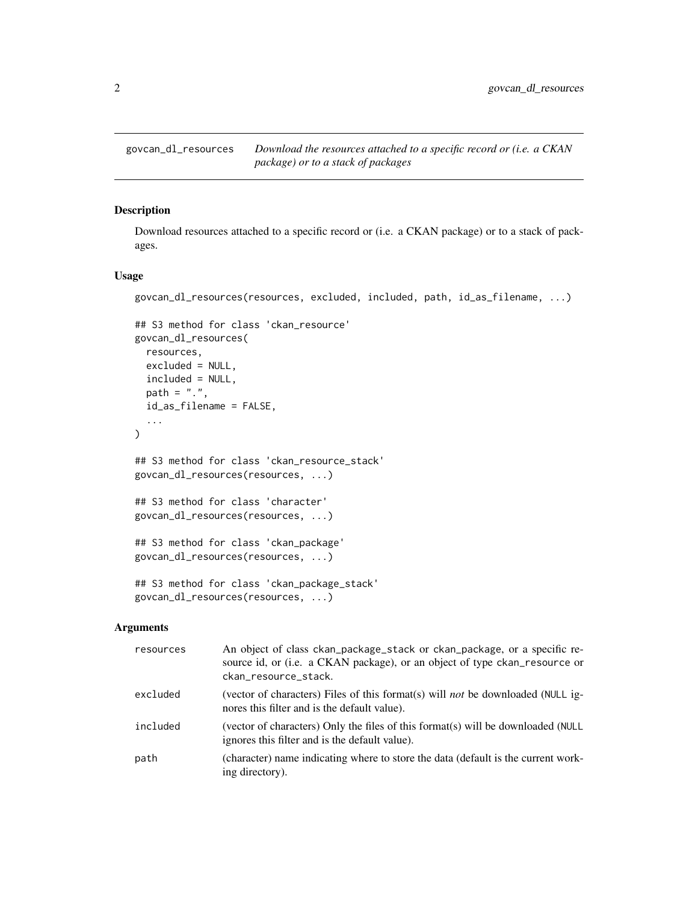<span id="page-1-0"></span>

#### Description

Download resources attached to a specific record or (i.e. a CKAN package) or to a stack of packages.

#### Usage

govcan\_dl\_resources(resources, excluded, included, path, id\_as\_filename, ...)

```
## S3 method for class 'ckan_resource'
govcan_dl_resources(
 resources,
 excluded = NULL,
 included = NULL,
 path = ".'',id_as_filename = FALSE,
  ...
\mathcal{L}## S3 method for class 'ckan_resource_stack'
govcan_dl_resources(resources, ...)
## S3 method for class 'character'
govcan_dl_resources(resources, ...)
## S3 method for class 'ckan_package'
govcan_dl_resources(resources, ...)
## S3 method for class 'ckan_package_stack'
govcan_dl_resources(resources, ...)
```
#### Arguments

| resources | An object of class ckan_package_stack or ckan_package, or a specific re-<br>source id, or (i.e. a CKAN package), or an object of type ckan_resource or<br>ckan_resource_stack. |
|-----------|--------------------------------------------------------------------------------------------------------------------------------------------------------------------------------|
| excluded  | (vector of characters) Files of this format(s) will <i>not</i> be downloaded (NULL ig-<br>nores this filter and is the default value).                                         |
| included  | (vector of characters) Only the files of this format(s) will be downloaded (NULL<br>ignores this filter and is the default value).                                             |
| path      | (character) name indicating where to store the data (default is the current work-<br>ing directory).                                                                           |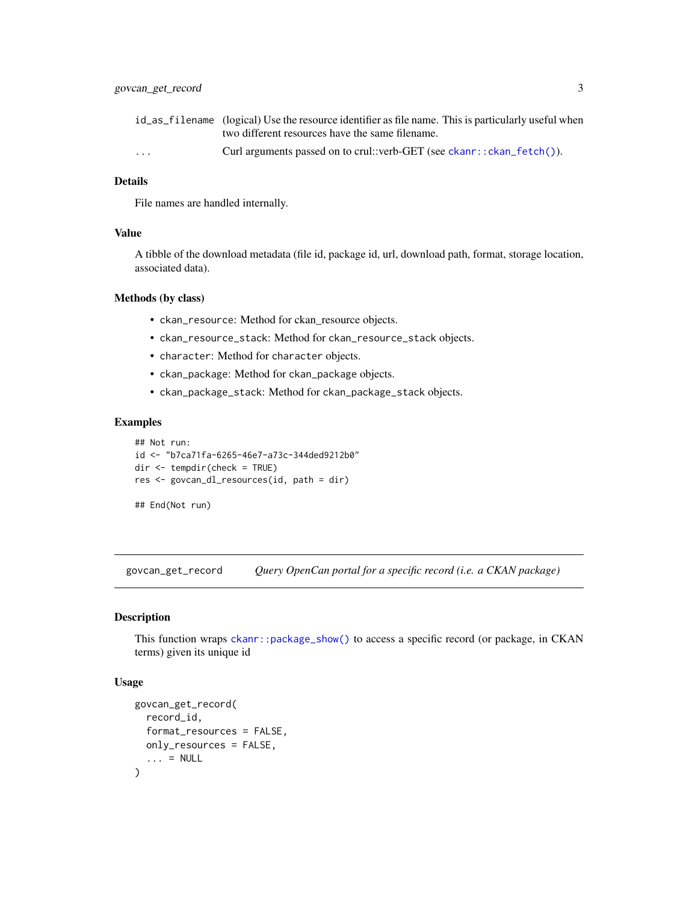<span id="page-2-0"></span>

|          | id_as_filename (logical) Use the resource identifier as file name. This is particularly useful when |
|----------|-----------------------------------------------------------------------------------------------------|
|          | two different resources have the same filename.                                                     |
| $\cdots$ | Curl arguments passed on to crul::verb-GET (see ckanr::ckan_fetch()).                               |

#### Details

File names are handled internally.

#### Value

A tibble of the download metadata (file id, package id, url, download path, format, storage location, associated data).

#### Methods (by class)

- ckan\_resource: Method for ckan\_resource objects.
- ckan\_resource\_stack: Method for ckan\_resource\_stack objects.
- character: Method for character objects.
- ckan\_package: Method for ckan\_package objects.
- ckan\_package\_stack: Method for ckan\_package\_stack objects.

#### Examples

```
## Not run:
id <- "b7ca71fa-6265-46e7-a73c-344ded9212b0"
dir <- tempdir(check = TRUE)
res <- govcan_dl_resources(id, path = dir)
## End(Not run)
```
govcan\_get\_record *Query OpenCan portal for a specific record (i.e. a CKAN package)*

#### Description

This function wraps [ckanr::package\\_show\(\)](#page-0-0) to access a specific record (or package, in CKAN terms) given its unique id

#### Usage

```
govcan_get_record(
 record_id,
  format_resources = FALSE,
 only_resources = FALSE,
  \ldots = NULL
)
```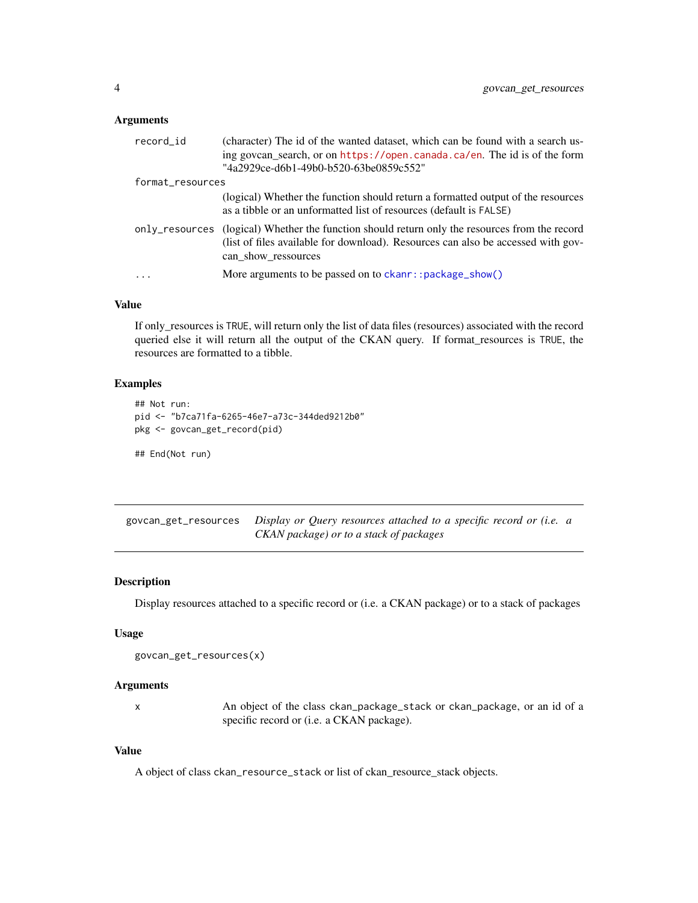#### <span id="page-3-0"></span>Arguments

| record_id        | (character) The id of the wanted dataset, which can be found with a search us-<br>ing govcan_search, or on https://open.canada.ca/en. The id is of the form                                |
|------------------|--------------------------------------------------------------------------------------------------------------------------------------------------------------------------------------------|
|                  | "4a2929ce-d6b1-49b0-b520-63be0859c552"                                                                                                                                                     |
| format_resources |                                                                                                                                                                                            |
|                  | (logical) Whether the function should return a formatted output of the resources<br>as a tibble or an unformatted list of resources (default is FALSE)                                     |
| only_resources   | (logical) Whether the function should return only the resources from the record<br>(list of files available for download). Resources can also be accessed with gov-<br>can show ressources |
|                  | More arguments to be passed on to ckanr::package_show()                                                                                                                                    |

#### Value

If only\_resources is TRUE, will return only the list of data files (resources) associated with the record queried else it will return all the output of the CKAN query. If format\_resources is TRUE, the resources are formatted to a tibble.

#### Examples

```
## Not run:
pid <- "b7ca71fa-6265-46e7-a73c-344ded9212b0"
pkg <- govcan_get_record(pid)
## End(Not run)
```
govcan\_get\_resources *Display or Query resources attached to a specific record or (i.e. a CKAN package) or to a stack of packages*

#### Description

Display resources attached to a specific record or (i.e. a CKAN package) or to a stack of packages

#### Usage

```
govcan_get_resources(x)
```
#### Arguments

| An object of the class ckan_package_stack or ckan_package, or an id of a |
|--------------------------------------------------------------------------|
| specific record or ( <i>i.e.</i> a CKAN package).                        |

#### Value

A object of class ckan\_resource\_stack or list of ckan\_resource\_stack objects.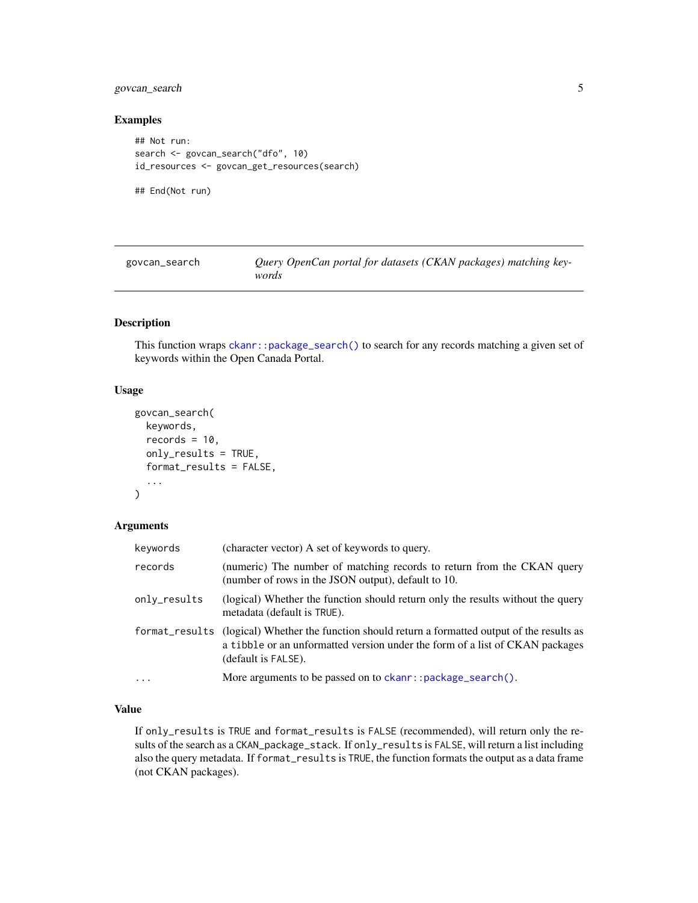#### <span id="page-4-0"></span>govcan\_search 5

#### Examples

```
## Not run:
search <- govcan_search("dfo", 10)
id_resources <- govcan_get_resources(search)
```
## End(Not run)

| govcan_search | Query OpenCan portal for datasets (CKAN packages) matching key- |
|---------------|-----------------------------------------------------------------|
|               | words                                                           |

#### Description

This function wraps [ckanr::package\\_search\(\)](#page-0-0) to search for any records matching a given set of keywords within the Open Canada Portal.

#### Usage

```
govcan_search(
  keywords,
  records = 10,
  only_results = TRUE,
  format_results = FALSE,
  ...
)
```
#### Arguments

| keywords     | (character vector) A set of keywords to query.                                                                                                                                                          |
|--------------|---------------------------------------------------------------------------------------------------------------------------------------------------------------------------------------------------------|
| records      | (numeric) The number of matching records to return from the CKAN query<br>(number of rows in the JSON output), default to 10.                                                                           |
| only_results | (logical) Whether the function should return only the results without the query<br>metadata (default is TRUE).                                                                                          |
|              | format_results (logical) Whether the function should return a formatted output of the results as<br>a tibble or an unformatted version under the form of a list of CKAN packages<br>(default is FALSE). |
| $\cdots$     | More arguments to be passed on to ckanr::package_search().                                                                                                                                              |

#### Value

If only\_results is TRUE and format\_results is FALSE (recommended), will return only the results of the search as a CKAN\_package\_stack. If only\_results is FALSE, will return a list including also the query metadata. If format\_results is TRUE, the function formats the output as a data frame (not CKAN packages).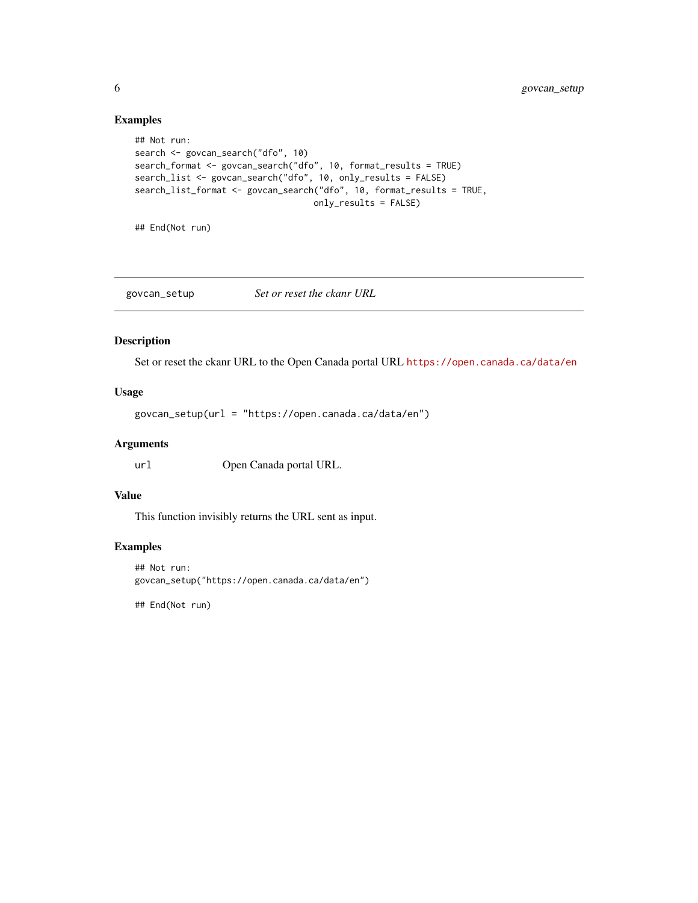#### Examples

```
## Not run:
search <- govcan_search("dfo", 10)
search_format <- govcan_search("dfo", 10, format_results = TRUE)
search_list <- govcan_search("dfo", 10, only_results = FALSE)
search_list_format <- govcan_search("dfo", 10, format_results = TRUE,
                                   only_results = FALSE)
```
## End(Not run)

govcan\_setup *Set or reset the ckanr URL*

#### Description

Set or reset the ckanr URL to the Open Canada portal URL <https://open.canada.ca/data/en>

#### Usage

govcan\_setup(url = "https://open.canada.ca/data/en")

#### Arguments

url Open Canada portal URL.

#### Value

This function invisibly returns the URL sent as input.

#### Examples

```
## Not run:
govcan_setup("https://open.canada.ca/data/en")
```
## End(Not run)

<span id="page-5-0"></span>